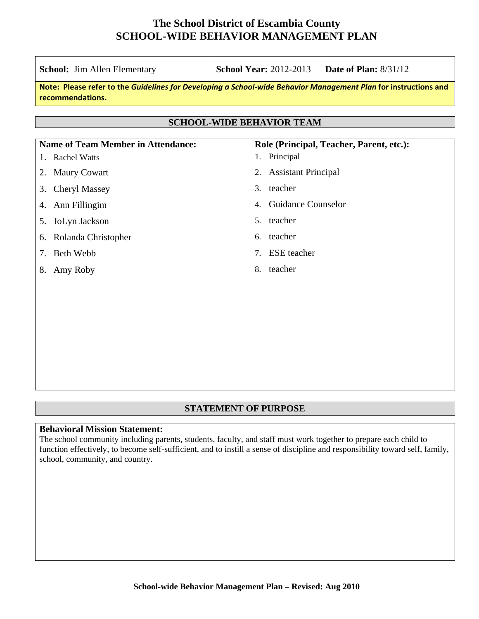| <b>School:</b> Jim Allen Elementary                                                                                                 | <b>School Year: 2012-2013</b>            | <b>Date of Plan: 8/31/12</b>             |
|-------------------------------------------------------------------------------------------------------------------------------------|------------------------------------------|------------------------------------------|
| Note: Please refer to the Guidelines for Developing a School-wide Behavior Management Plan for instructions and<br>recommendations. |                                          |                                          |
|                                                                                                                                     | <b>SCHOOL-WIDE BEHAVIOR TEAM</b>         |                                          |
| <b>Name of Team Member in Attendance:</b>                                                                                           |                                          | Role (Principal, Teacher, Parent, etc.): |
| <b>Rachel Watts</b>                                                                                                                 | Principal<br>1.                          |                                          |
| <b>Maury Cowart</b><br>2.                                                                                                           | <b>Assistant Principal</b><br>2.         |                                          |
| <b>Cheryl Massey</b><br>3.                                                                                                          | teacher<br>3.                            |                                          |
| Ann Fillingim<br>4.                                                                                                                 | <b>Guidance Counselor</b><br>$4_{\cdot}$ |                                          |
| JoLyn Jackson<br>5.                                                                                                                 | teacher<br>5.                            |                                          |
| Rolanda Christopher<br>6.                                                                                                           | teacher<br>6.                            |                                          |
| <b>Beth Webb</b><br>7.                                                                                                              | <b>ESE</b> teacher<br>7.                 |                                          |
| Amy Roby<br>8.                                                                                                                      | 8. teacher                               |                                          |
|                                                                                                                                     |                                          |                                          |
|                                                                                                                                     |                                          |                                          |
|                                                                                                                                     |                                          |                                          |
|                                                                                                                                     |                                          |                                          |
|                                                                                                                                     |                                          |                                          |
|                                                                                                                                     |                                          |                                          |

#### **STATEMENT OF PURPOSE**

#### **Behavioral Mission Statement:**

The school community including parents, students, faculty, and staff must work together to prepare each child to function effectively, to become self-sufficient, and to instill a sense of discipline and responsibility toward self, family, school, community, and country.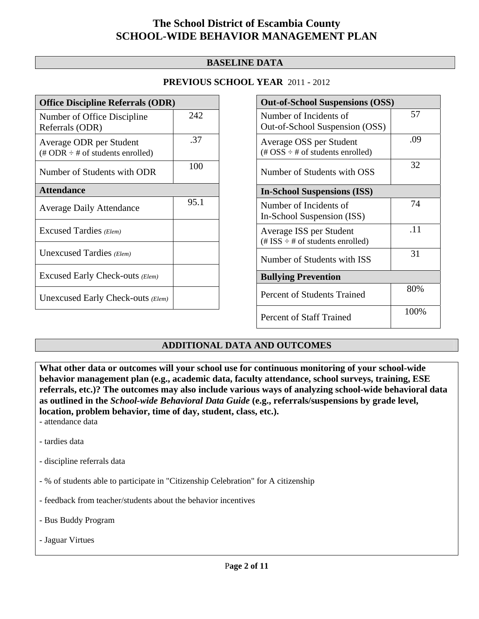#### **BASELINE DATA**

#### **PREVIOUS SCHOOL YEAR** 2011 - 2012

| <b>Office Discipline Referrals (ODR)</b>                                         |      |
|----------------------------------------------------------------------------------|------|
| Number of Office Discipline<br>Referrals (ODR)                                   | 242  |
| Average ODR per Student<br>$(\text{\# ODR} \div \text{\# of students enrolled})$ | .37  |
| Number of Students with ODR                                                      | 100  |
| <b>Attendance</b>                                                                |      |
| <b>Average Daily Attendance</b>                                                  | 95.1 |
| Excused Tardies (Elem)                                                           |      |
| Unexcused Tardies (Elem)                                                         |      |
| Excused Early Check-outs (Elem)                                                  |      |
| Unexcused Early Check-outs (Elem)                                                |      |

| <b>Out-of-School Suspensions (OSS)</b>                                                          |      |
|-------------------------------------------------------------------------------------------------|------|
| Number of Incidents of<br>Out-of-School Suspension (OSS)                                        | 57   |
| Average OSS per Student<br>$(\text{\#} \text{OSS} \div \text{\#} \text{ of students enrolled})$ | .09  |
| Number of Students with OSS                                                                     | 32   |
| <b>In-School Suspensions (ISS)</b>                                                              |      |
| Number of Incidents of<br>In-School Suspension (ISS)                                            | 74   |
| Average ISS per Student<br>$(\text{\# ISS} \div \text{\# of students enrolled})$                | .11  |
| Number of Students with ISS                                                                     | 31   |
| <b>Bullying Prevention</b>                                                                      |      |
| Percent of Students Trained                                                                     | 80%  |
| <b>Percent of Staff Trained</b>                                                                 | 100% |

#### **ADDITIONAL DATA AND OUTCOMES**

**What other data or outcomes will your school use for continuous monitoring of your school-wide behavior management plan (e.g., academic data, faculty attendance, school surveys, training, ESE referrals, etc.)? The outcomes may also include various ways of analyzing school-wide behavioral data as outlined in the** *School-wide Behavioral Data Guide* **(e.g., referrals/suspensions by grade level, location, problem behavior, time of day, student, class, etc.).** - attendance data

- tardies data
- discipline referrals data
- % of students able to participate in "Citizenship Celebration" for A citizenship
- feedback from teacher/students about the behavior incentives
- Bus Buddy Program
- Jaguar Virtues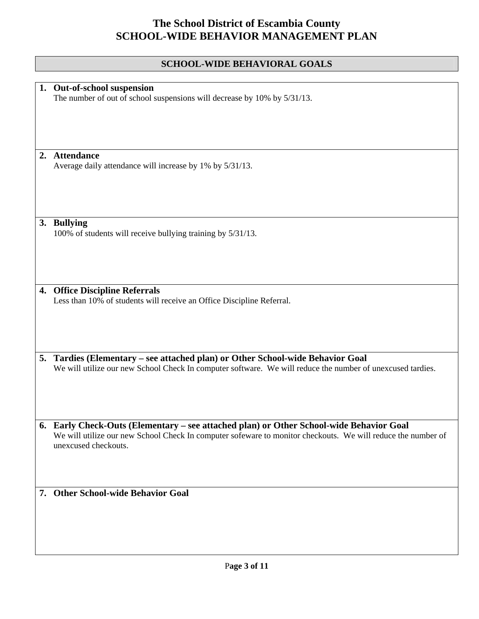### **SCHOOL-WIDE BEHAVIORAL GOALS**

|    | 1. Out-of-school suspension                                                                                  |
|----|--------------------------------------------------------------------------------------------------------------|
|    | The number of out of school suspensions will decrease by 10% by 5/31/13.                                     |
|    |                                                                                                              |
|    |                                                                                                              |
|    |                                                                                                              |
|    |                                                                                                              |
|    |                                                                                                              |
|    |                                                                                                              |
|    | 2. Attendance                                                                                                |
|    | Average daily attendance will increase by 1% by 5/31/13.                                                     |
|    |                                                                                                              |
|    |                                                                                                              |
|    |                                                                                                              |
|    |                                                                                                              |
|    |                                                                                                              |
|    |                                                                                                              |
|    |                                                                                                              |
|    | 3. Bullying                                                                                                  |
|    | 100% of students will receive bullying training by 5/31/13.                                                  |
|    |                                                                                                              |
|    |                                                                                                              |
|    |                                                                                                              |
|    |                                                                                                              |
|    |                                                                                                              |
|    |                                                                                                              |
| 4. | <b>Office Discipline Referrals</b>                                                                           |
|    | Less than 10% of students will receive an Office Discipline Referral.                                        |
|    |                                                                                                              |
|    |                                                                                                              |
|    |                                                                                                              |
|    |                                                                                                              |
|    |                                                                                                              |
|    |                                                                                                              |
|    | 5. Tardies (Elementary – see attached plan) or Other School-wide Behavior Goal                               |
|    | We will utilize our new School Check In computer software. We will reduce the number of unexcused tardies.   |
|    |                                                                                                              |
|    |                                                                                                              |
|    |                                                                                                              |
|    |                                                                                                              |
|    |                                                                                                              |
|    |                                                                                                              |
|    | 6. Early Check-Outs (Elementary – see attached plan) or Other School-wide Behavior Goal                      |
|    | We will utilize our new School Check In computer sofeware to monitor checkouts. We will reduce the number of |
|    |                                                                                                              |
|    | unexcused checkouts.                                                                                         |
|    |                                                                                                              |
|    |                                                                                                              |
|    |                                                                                                              |
|    |                                                                                                              |
|    | 7. Other School-wide Behavior Goal                                                                           |
|    |                                                                                                              |
|    |                                                                                                              |
|    |                                                                                                              |
|    |                                                                                                              |
|    |                                                                                                              |
|    |                                                                                                              |
|    |                                                                                                              |
|    |                                                                                                              |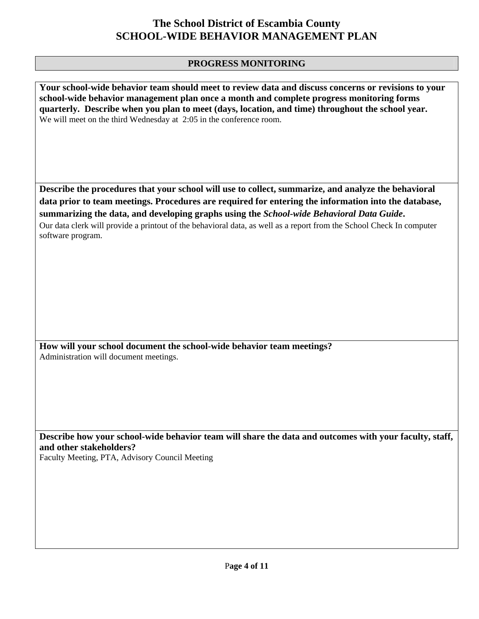#### **PROGRESS MONITORING**

**Your school-wide behavior team should meet to review data and discuss concerns or revisions to your school-wide behavior management plan once a month and complete progress monitoring forms quarterly. Describe when you plan to meet (days, location, and time) throughout the school year.**  We will meet on the third Wednesday at 2:05 in the conference room.

**Describe the procedures that your school will use to collect, summarize, and analyze the behavioral data prior to team meetings. Procedures are required for entering the information into the database, summarizing the data, and developing graphs using the** *School-wide Behavioral Data Guide***.** 

Our data clerk will provide a printout of the behavioral data, as well as a report from the School Check In computer software program.

**How will your school document the school-wide behavior team meetings?** Administration will document meetings.

**Describe how your school-wide behavior team will share the data and outcomes with your faculty, staff, and other stakeholders?** 

Faculty Meeting, PTA, Advisory Council Meeting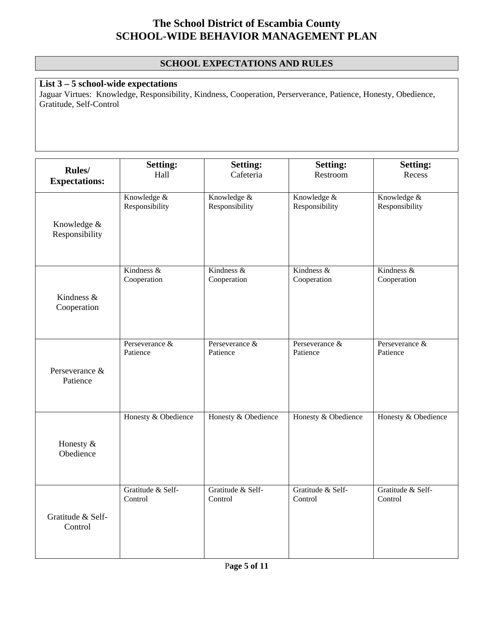#### **SCHOOL EXPECTATIONS AND RULES**

### **List 3 – 5 school-wide expectations**

Jaguar Virtues: Knowledge, Responsibility, Kindness, Cooperation, Perserverance, Patience, Honesty, Obedience, Gratitude, Self-Control

| Rules/                 | <b>Setting:</b>     | <b>Setting:</b>     | <b>Setting:</b>     | <b>Setting:</b>     |
|------------------------|---------------------|---------------------|---------------------|---------------------|
| <b>Expectations:</b>   | Hall                | Cafeteria           | Restroom            | Recess              |
| Knowledge &            | Knowledge &         | Knowledge &         | Knowledge &         | Knowledge &         |
| Responsibility         | Responsibility      | Responsibility      | Responsibility      | Responsibility      |
| Kindness &             | Kindness $\&$       | Kindness &          | Kindness $\&$       | Kindness $\&$       |
| Cooperation            | Cooperation         | Cooperation         | Cooperation         | Cooperation         |
| Perseverance &         | Perseverance &      | Perseverance &      | Perseverance &      | Perseverance &      |
| Patience               | Patience            | Patience            | Patience            | Patience            |
| Honesty &<br>Obedience | Honesty & Obedience | Honesty & Obedience | Honesty & Obedience | Honesty & Obedience |
| Gratitude & Self-      | Gratitude & Self-   | Gratitude & Self-   | Gratitude & Self-   | Gratitude & Self-   |
| Control                | Control             | Control             | Control             | Control             |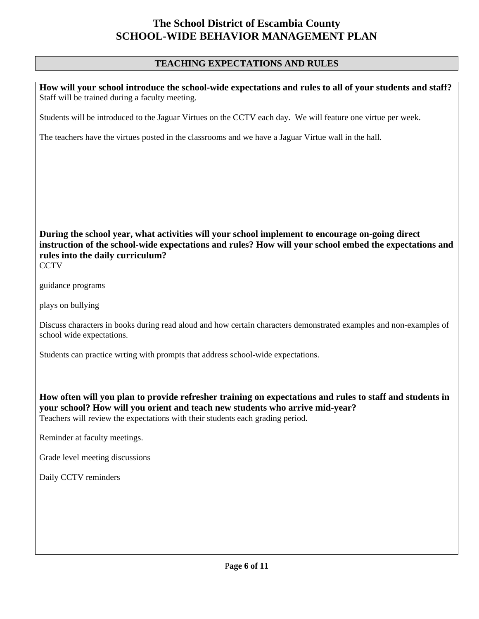#### **TEACHING EXPECTATIONS AND RULES**

**How will your school introduce the school-wide expectations and rules to all of your students and staff?**  Staff will be trained during a faculty meeting.

Students will be introduced to the Jaguar Virtues on the CCTV each day. We will feature one virtue per week.

The teachers have the virtues posted in the classrooms and we have a Jaguar Virtue wall in the hall.

**During the school year, what activities will your school implement to encourage on-going direct instruction of the school-wide expectations and rules? How will your school embed the expectations and rules into the daily curriculum? CCTV** 

guidance programs

plays on bullying

Discuss characters in books during read aloud and how certain characters demonstrated examples and non-examples of school wide expectations.

Students can practice wrting with prompts that address school-wide expectations.

**How often will you plan to provide refresher training on expectations and rules to staff and students in your school? How will you orient and teach new students who arrive mid-year?**  Teachers will review the expectations with their students each grading period.

Reminder at faculty meetings.

Grade level meeting discussions

Daily CCTV reminders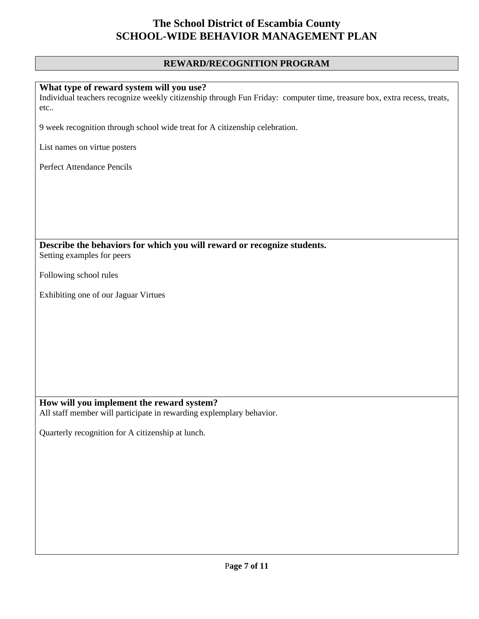### **REWARD/RECOGNITION PROGRAM**

| What type of reward system will you use?                                                                                |
|-------------------------------------------------------------------------------------------------------------------------|
| Individual teachers recognize weekly citizenship through Fun Friday: computer time, treasure box, extra recess, treats, |
| etc                                                                                                                     |
|                                                                                                                         |
| 9 week recognition through school wide treat for A citizenship celebration.                                             |
|                                                                                                                         |
| List names on virtue posters                                                                                            |
|                                                                                                                         |
| Perfect Attendance Pencils                                                                                              |
|                                                                                                                         |
|                                                                                                                         |
|                                                                                                                         |
|                                                                                                                         |
|                                                                                                                         |
|                                                                                                                         |
|                                                                                                                         |
| Describe the behaviors for which you will reward or recognize students.                                                 |
| Setting examples for peers                                                                                              |
|                                                                                                                         |
| Following school rules                                                                                                  |
|                                                                                                                         |
| Exhibiting one of our Jaguar Virtues                                                                                    |
|                                                                                                                         |
|                                                                                                                         |
|                                                                                                                         |
|                                                                                                                         |
|                                                                                                                         |
|                                                                                                                         |
|                                                                                                                         |
|                                                                                                                         |
|                                                                                                                         |
|                                                                                                                         |
| How will you implement the reward system?                                                                               |
| All staff member will participate in rewarding explemplary behavior.                                                    |
|                                                                                                                         |
| Quarterly recognition for A citizenship at lunch.                                                                       |
|                                                                                                                         |
|                                                                                                                         |
|                                                                                                                         |
|                                                                                                                         |
|                                                                                                                         |
|                                                                                                                         |
|                                                                                                                         |
|                                                                                                                         |
|                                                                                                                         |
|                                                                                                                         |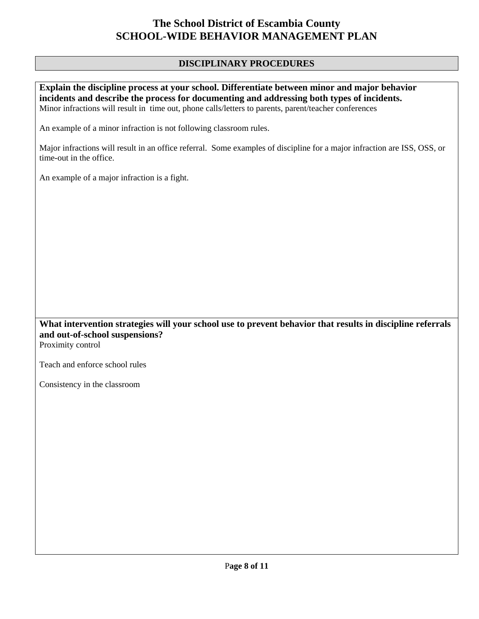#### **DISCIPLINARY PROCEDURES**

**Explain the discipline process at your school. Differentiate between minor and major behavior incidents and describe the process for documenting and addressing both types of incidents.**  Minor infractions will result in time out, phone calls/letters to parents, parent/teacher conferences

An example of a minor infraction is not following classroom rules.

Major infractions will result in an office referral. Some examples of discipline for a major infraction are ISS, OSS, or time-out in the office.

An example of a major infraction is a fight.

### **What intervention strategies will your school use to prevent behavior that results in discipline referrals and out-of-school suspensions?**

Proximity control

Teach and enforce school rules

Consistency in the classroom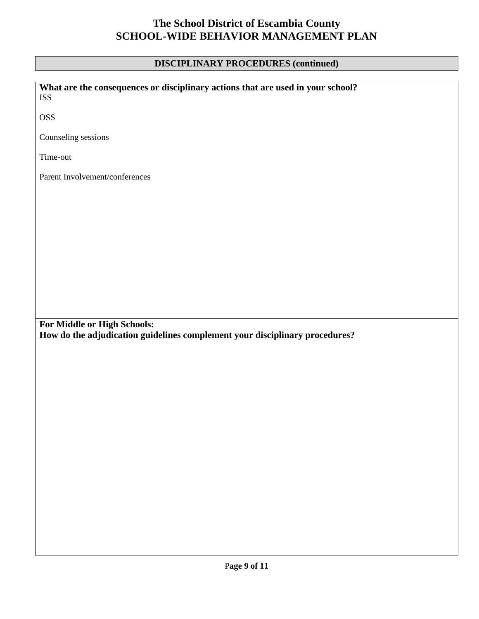### **DISCIPLINARY PROCEDURES (continued)**

| What are the consequences or disciplinary actions that are used in your school?<br><b>ISS</b>              |
|------------------------------------------------------------------------------------------------------------|
| <b>OSS</b>                                                                                                 |
| Counseling sessions                                                                                        |
| Time-out                                                                                                   |
| Parent Involvement/conferences                                                                             |
|                                                                                                            |
|                                                                                                            |
|                                                                                                            |
|                                                                                                            |
|                                                                                                            |
|                                                                                                            |
| For Middle or High Schools:<br>How do the adjudication guidelines complement your disciplinary procedures? |
|                                                                                                            |
|                                                                                                            |
|                                                                                                            |
|                                                                                                            |
|                                                                                                            |
|                                                                                                            |
|                                                                                                            |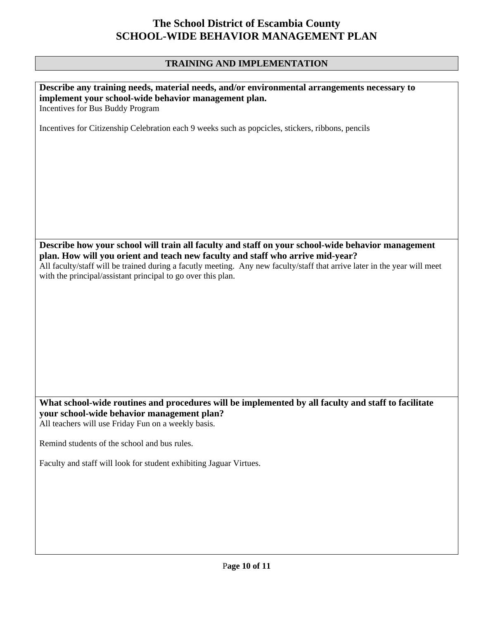### **TRAINING AND IMPLEMENTATION**

| Describe any training needs, material needs, and/or environmental arrangements necessary to<br>implement your school-wide behavior management plan.<br>Incentives for Bus Buddy Program                                                                                                                                                                                          |  |
|----------------------------------------------------------------------------------------------------------------------------------------------------------------------------------------------------------------------------------------------------------------------------------------------------------------------------------------------------------------------------------|--|
| Incentives for Citizenship Celebration each 9 weeks such as popcicles, stickers, ribbons, pencils                                                                                                                                                                                                                                                                                |  |
|                                                                                                                                                                                                                                                                                                                                                                                  |  |
| Describe how your school will train all faculty and staff on your school-wide behavior management<br>plan. How will you orient and teach new faculty and staff who arrive mid-year?<br>All faculty/staff will be trained during a facutly meeting. Any new faculty/staff that arrive later in the year will meet<br>with the principal/assistant principal to go over this plan. |  |
|                                                                                                                                                                                                                                                                                                                                                                                  |  |
| What school-wide routines and procedures will be implemented by all faculty and staff to facilitate<br>your school-wide behavior management plan?<br>All teachers will use Friday Fun on a weekly basis.                                                                                                                                                                         |  |
| Remind students of the school and bus rules.                                                                                                                                                                                                                                                                                                                                     |  |
| Faculty and staff will look for student exhibiting Jaguar Virtues.                                                                                                                                                                                                                                                                                                               |  |
|                                                                                                                                                                                                                                                                                                                                                                                  |  |
|                                                                                                                                                                                                                                                                                                                                                                                  |  |
|                                                                                                                                                                                                                                                                                                                                                                                  |  |
|                                                                                                                                                                                                                                                                                                                                                                                  |  |